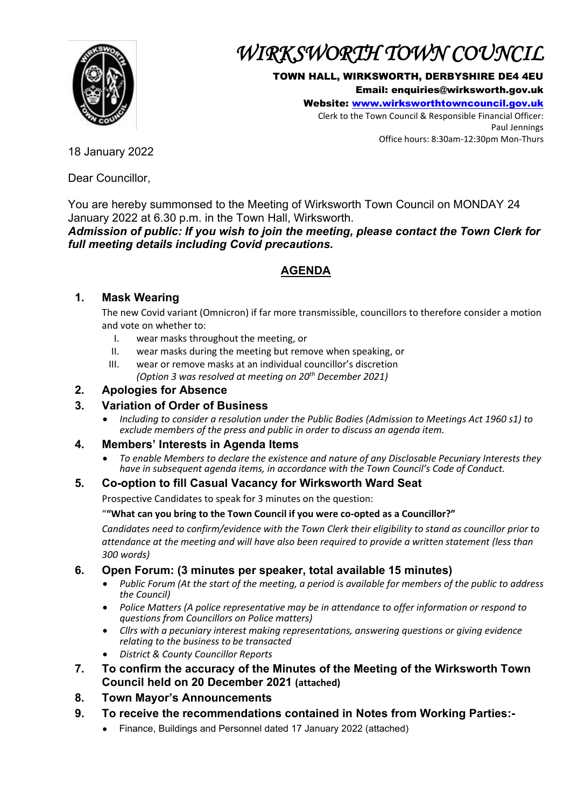

# *WIRKSWORTH TOWN COUNCIL*

#### TOWN HALL, WIRKSWORTH, DERBYSHIRE DE4 4EU

Email: enquiries@wirksworth.gov.uk

Website: [www.wirksworthtowncouncil.gov.uk](http://www.wirksworthtowncouncil.gov.uk/)

Clerk to the Town Council & Responsible Financial Officer: Paul Jennings Office hours: 8:30am-12:30pm Mon-Thurs

18 January 2022

Dear Councillor,

You are hereby summonsed to the Meeting of Wirksworth Town Council on MONDAY 24 January 2022 at 6.30 p.m. in the Town Hall, Wirksworth.

*Admission of public: If you wish to join the meeting, please contact the Town Clerk for full meeting details including Covid precautions.*

# **AGENDA**

# **1. Mask Wearing**

The new Covid variant (Omnicron) if far more transmissible, councillors to therefore consider a motion and vote on whether to:

- I. wear masks throughout the meeting, or
- II. wear masks during the meeting but remove when speaking, or
- III. wear or remove masks at an individual councillor's discretion *(Option 3 was resolved at meeting on 20th December 2021)*

## **2. Apologies for Absence**

## **3. Variation of Order of Business**

• *Including to consider a resolution under the Public Bodies (Admission to Meetings Act 1960 s1) to exclude members of the press and public in order to discuss an agenda item.*

## **4. Members' Interests in Agenda Items**

• *To enable Members to declare the existence and nature of any Disclosable Pecuniary Interests they have in subsequent agenda items, in accordance with the Town Council's Code of Conduct.* 

## **5. Co-option to fill Casual Vacancy for Wirksworth Ward Seat**

Prospective Candidates to speak for 3 minutes on the question:

#### "**"What can you bring to the Town Council if you were co-opted as a Councillor?"**

*Candidates need to confirm/evidence with the Town Clerk their eligibility to stand as councillor prior to attendance at the meeting and will have also been required to provide a written statement (less than 300 words)* 

## **6. Open Forum: (3 minutes per speaker, total available 15 minutes)**

- *Public Forum (At the start of the meeting, a period is available for members of the public to address the Council)*
- *Police Matters (A police representative may be in attendance to offer information or respond to questions from Councillors on Police matters)*
- *Cllrs with a pecuniary interest making representations, answering questions or giving evidence relating to the business to be transacted*
- *District & County Councillor Reports*
- **7. To confirm the accuracy of the Minutes of the Meeting of the Wirksworth Town Council held on 20 December 2021 (attached)**
- **8. Town Mayor's Announcements**
- **9. To receive the recommendations contained in Notes from Working Parties:-**
	- Finance, Buildings and Personnel dated 17 January 2022 (attached)